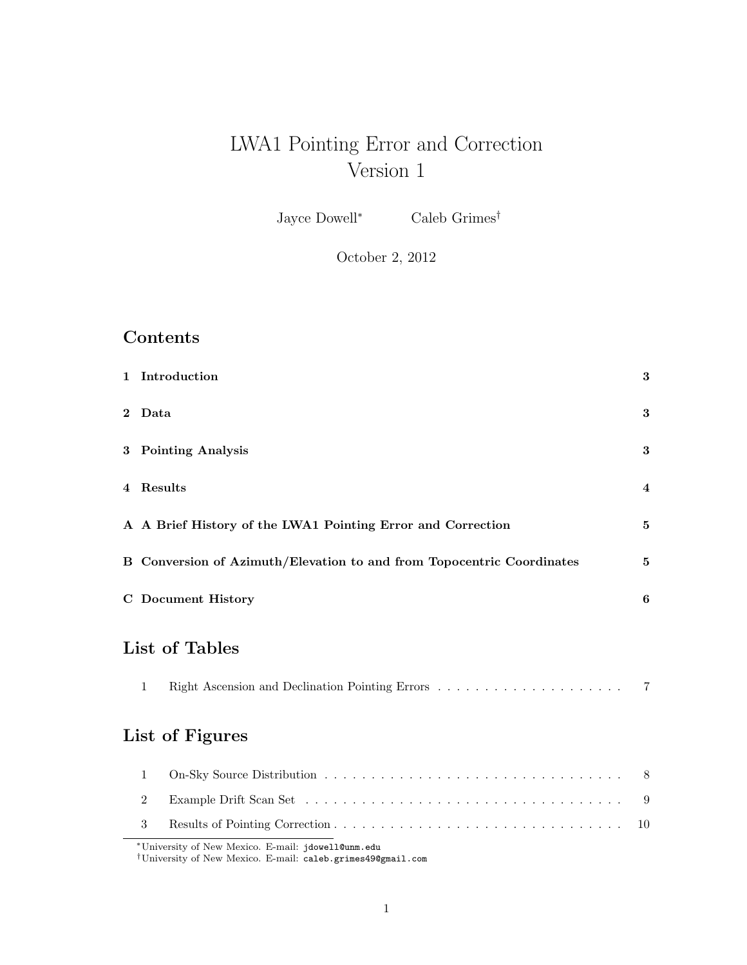# LWA1 Pointing Error and Correction Version 1

Jayce Dowell<sup>∗</sup> Caleb Grimes†

October 2, 2012

## Contents

| 1 Introduction                                                        | 3              |
|-----------------------------------------------------------------------|----------------|
| 2 Data                                                                | 3              |
| 3 Pointing Analysis                                                   | 3              |
| 4 Results                                                             | $\overline{4}$ |
| A A Brief History of the LWA1 Pointing Error and Correction           | 5              |
| B Conversion of Azimuth/Elevation to and from Topocentric Coordinates | 5              |
| C Document History                                                    | 6              |
| List of Tables                                                        |                |
| 1                                                                     | 7              |

# List of Figures

<sup>∗</sup>University of New Mexico. E-mail: jdowell@unm.edu

<sup>†</sup>University of New Mexico. E-mail: caleb.grimes49@gmail.com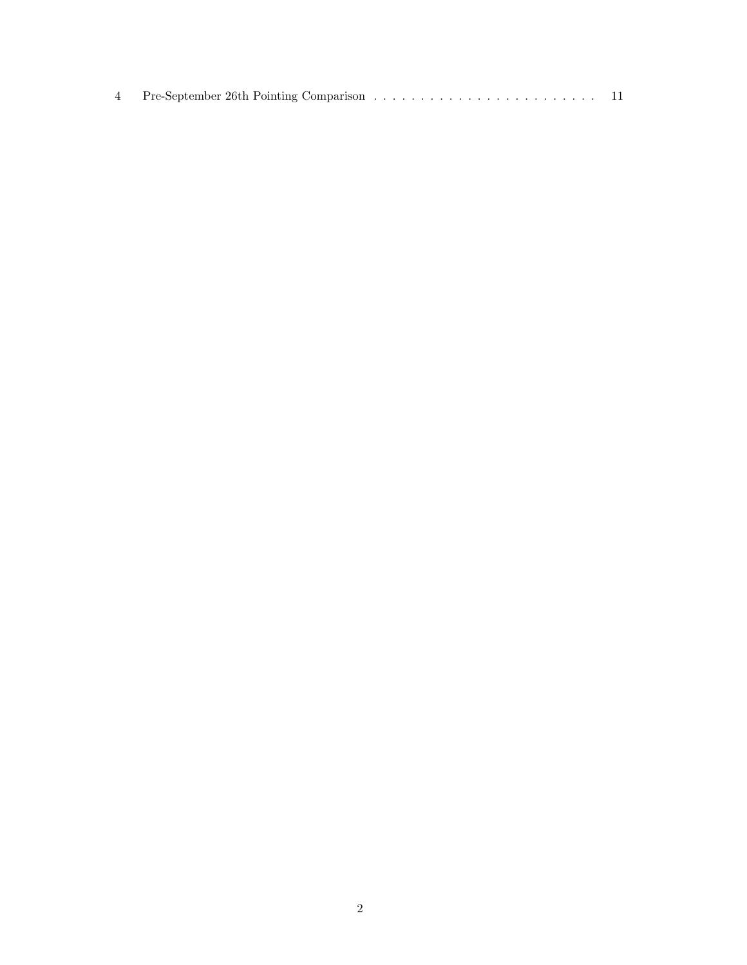|--|--|--|--|--|--|--|--|--|--|--|--|--|--|--|--|--|--|--|--|--|--|--|--|--|--|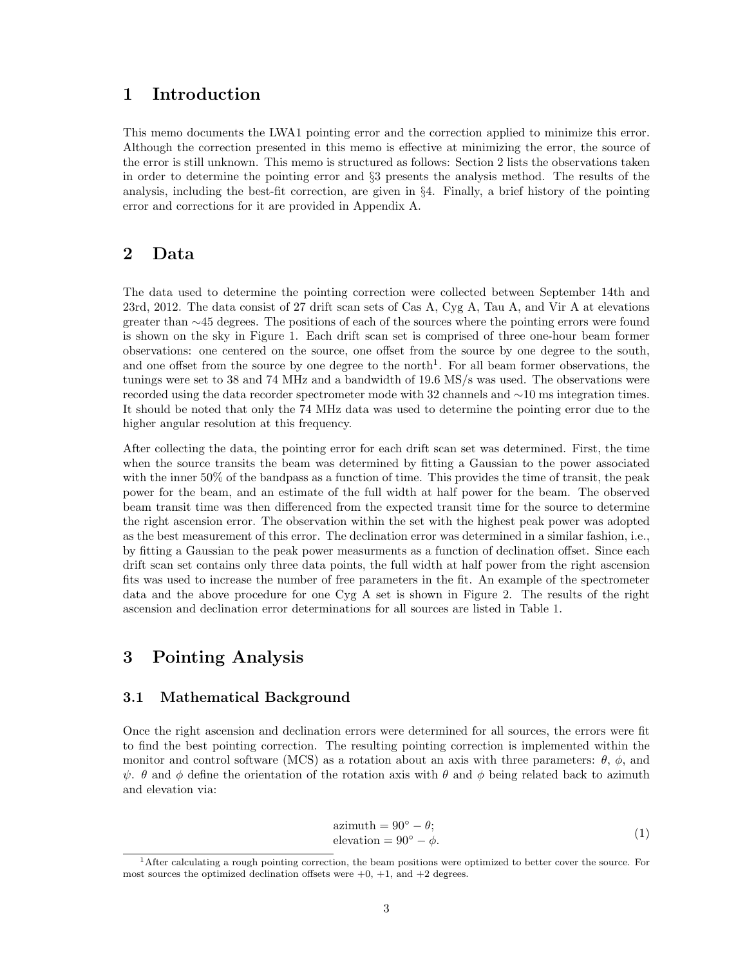### 1 Introduction

This memo documents the LWA1 pointing error and the correction applied to minimize this error. Although the correction presented in this memo is effective at minimizing the error, the source of the error is still unknown. This memo is structured as follows: Section 2 lists the observations taken in order to determine the pointing error and §3 presents the analysis method. The results of the analysis, including the best-fit correction, are given in §4. Finally, a brief history of the pointing error and corrections for it are provided in Appendix A.

### 2 Data

The data used to determine the pointing correction were collected between September 14th and 23rd, 2012. The data consist of 27 drift scan sets of Cas A, Cyg A, Tau A, and Vir A at elevations greater than ∼45 degrees. The positions of each of the sources where the pointing errors were found is shown on the sky in Figure 1. Each drift scan set is comprised of three one-hour beam former observations: one centered on the source, one offset from the source by one degree to the south, and one offset from the source by one degree to the north<sup>1</sup>. For all beam former observations, the tunings were set to 38 and 74 MHz and a bandwidth of 19.6 MS/s was used. The observations were recorded using the data recorder spectrometer mode with 32 channels and ∼10 ms integration times. It should be noted that only the 74 MHz data was used to determine the pointing error due to the higher angular resolution at this frequency.

After collecting the data, the pointing error for each drift scan set was determined. First, the time when the source transits the beam was determined by fitting a Gaussian to the power associated with the inner 50% of the bandpass as a function of time. This provides the time of transit, the peak power for the beam, and an estimate of the full width at half power for the beam. The observed beam transit time was then differenced from the expected transit time for the source to determine the right ascension error. The observation within the set with the highest peak power was adopted as the best measurement of this error. The declination error was determined in a similar fashion, i.e., by fitting a Gaussian to the peak power measurments as a function of declination offset. Since each drift scan set contains only three data points, the full width at half power from the right ascension fits was used to increase the number of free parameters in the fit. An example of the spectrometer data and the above procedure for one Cyg A set is shown in Figure 2. The results of the right ascension and declination error determinations for all sources are listed in Table 1.

### 3 Pointing Analysis

#### 3.1 Mathematical Background

Once the right ascension and declination errors were determined for all sources, the errors were fit to find the best pointing correction. The resulting pointing correction is implemented within the monitor and control software (MCS) as a rotation about an axis with three parameters:  $\theta$ ,  $\phi$ , and  $\psi$ .  $\theta$  and  $\phi$  define the orientation of the rotation axis with  $\theta$  and  $\phi$  being related back to azimuth and elevation via:

$$
azimuth = 90^{\circ} - \theta; elevation = 90^{\circ} - \phi.
$$
 (1)

<sup>&</sup>lt;sup>1</sup>After calculating a rough pointing correction, the beam positions were optimized to better cover the source. For most sources the optimized declination offsets were  $+0, +1,$  and  $+2$  degrees.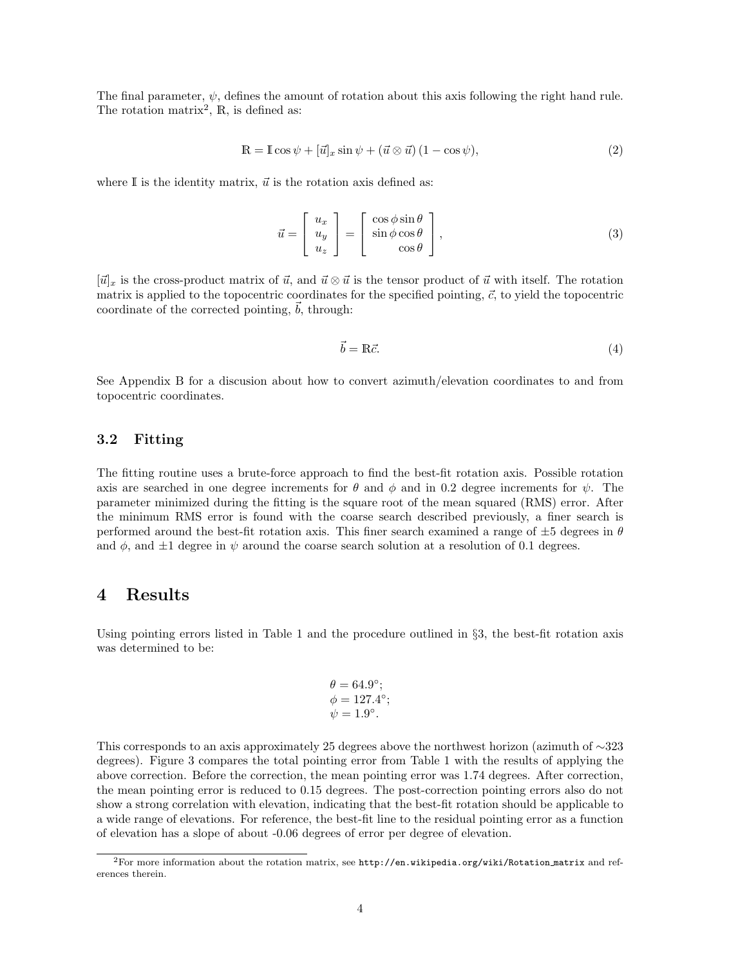The final parameter,  $\psi$ , defines the amount of rotation about this axis following the right hand rule. The rotation matrix<sup>2</sup>,  $\mathbb{R}$ , is defined as:

$$
\mathbb{R} = \mathbb{I}\cos\psi + [\vec{u}]_x \sin\psi + (\vec{u} \otimes \vec{u}) (1 - \cos\psi),\tag{2}
$$

where  $\mathbb I$  is the identity matrix,  $\vec u$  is the rotation axis defined as:

$$
\vec{u} = \begin{bmatrix} u_x \\ u_y \\ u_z \end{bmatrix} = \begin{bmatrix} \cos\phi\sin\theta \\ \sin\phi\cos\theta \\ \cos\theta \end{bmatrix},
$$
\n(3)

 $[\vec{u}]_x$  is the cross-product matrix of  $\vec{u}$ , and  $\vec{u} \otimes \vec{u}$  is the tensor product of  $\vec{u}$  with itself. The rotation matrix is applied to the topocentric coordinates for the specified pointing,  $\vec{c}$ , to yield the topocentric coordinate of the corrected pointing,  $\dot{b}$ , through:

$$
\vec{b} = \mathbb{R}\vec{c}.\tag{4}
$$

See Appendix B for a discusion about how to convert azimuth/elevation coordinates to and from topocentric coordinates.

#### 3.2 Fitting

The fitting routine uses a brute-force approach to find the best-fit rotation axis. Possible rotation axis are searched in one degree increments for  $\theta$  and  $\phi$  and in 0.2 degree increments for  $\psi$ . The parameter minimized during the fitting is the square root of the mean squared (RMS) error. After the minimum RMS error is found with the coarse search described previously, a finer search is performed around the best-fit rotation axis. This finer search examined a range of  $\pm 5$  degrees in  $\theta$ and  $\phi$ , and  $\pm 1$  degree in  $\psi$  around the coarse search solution at a resolution of 0.1 degrees.

### 4 Results

Using pointing errors listed in Table 1 and the procedure outlined in §3, the best-fit rotation axis was determined to be:

$$
\theta = 64.9^{\circ};
$$
  
\n
$$
\phi = 127.4^{\circ};
$$
  
\n
$$
\psi = 1.9^{\circ}.
$$

This corresponds to an axis approximately 25 degrees above the northwest horizon (azimuth of ∼323 degrees). Figure 3 compares the total pointing error from Table 1 with the results of applying the above correction. Before the correction, the mean pointing error was 1.74 degrees. After correction, the mean pointing error is reduced to 0.15 degrees. The post-correction pointing errors also do not show a strong correlation with elevation, indicating that the best-fit rotation should be applicable to a wide range of elevations. For reference, the best-fit line to the residual pointing error as a function of elevation has a slope of about -0.06 degrees of error per degree of elevation.

<sup>&</sup>lt;sup>2</sup>For more information about the rotation matrix, see http://en.wikipedia.org/wiki/Rotation matrix and references therein.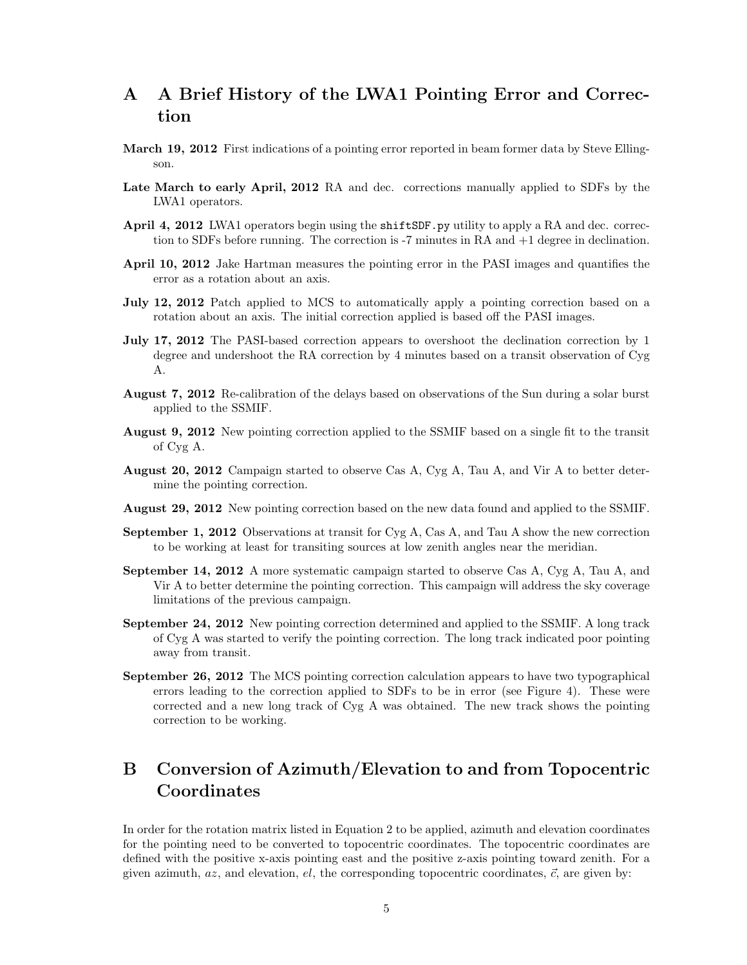## A A Brief History of the LWA1 Pointing Error and Correction

- March 19, 2012 First indications of a pointing error reported in beam former data by Steve Ellingson.
- Late March to early April, 2012 RA and dec. corrections manually applied to SDFs by the LWA1 operators.
- April 4, 2012 LWA1 operators begin using the shift SDF. py utility to apply a RA and dec. correction to SDFs before running. The correction is -7 minutes in RA and +1 degree in declination.
- April 10, 2012 Jake Hartman measures the pointing error in the PASI images and quantifies the error as a rotation about an axis.
- July 12, 2012 Patch applied to MCS to automatically apply a pointing correction based on a rotation about an axis. The initial correction applied is based off the PASI images.
- July 17, 2012 The PASI-based correction appears to overshoot the declination correction by 1 degree and undershoot the RA correction by 4 minutes based on a transit observation of Cyg A.
- August 7, 2012 Re-calibration of the delays based on observations of the Sun during a solar burst applied to the SSMIF.
- August 9, 2012 New pointing correction applied to the SSMIF based on a single fit to the transit of Cyg A.
- August 20, 2012 Campaign started to observe Cas A, Cyg A, Tau A, and Vir A to better determine the pointing correction.
- August 29, 2012 New pointing correction based on the new data found and applied to the SSMIF.
- September 1, 2012 Observations at transit for Cyg A, Cas A, and Tau A show the new correction to be working at least for transiting sources at low zenith angles near the meridian.
- September 14, 2012 A more systematic campaign started to observe Cas A, Cyg A, Tau A, and Vir A to better determine the pointing correction. This campaign will address the sky coverage limitations of the previous campaign.
- September 24, 2012 New pointing correction determined and applied to the SSMIF. A long track of Cyg A was started to verify the pointing correction. The long track indicated poor pointing away from transit.
- September 26, 2012 The MCS pointing correction calculation appears to have two typographical errors leading to the correction applied to SDFs to be in error (see Figure 4). These were corrected and a new long track of Cyg A was obtained. The new track shows the pointing correction to be working.

# B Conversion of Azimuth/Elevation to and from Topocentric **Coordinates**

In order for the rotation matrix listed in Equation 2 to be applied, azimuth and elevation coordinates for the pointing need to be converted to topocentric coordinates. The topocentric coordinates are defined with the positive x-axis pointing east and the positive z-axis pointing toward zenith. For a given azimuth,  $az$ , and elevation,  $el$ , the corresponding topocentric coordinates,  $\vec{c}$ , are given by: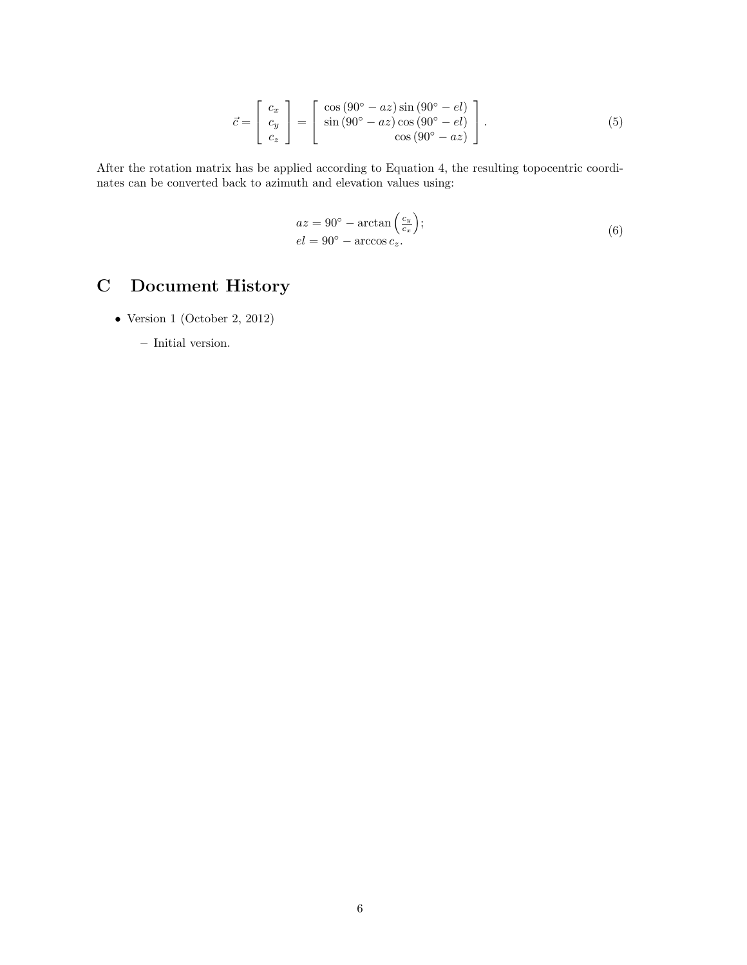$$
\vec{c} = \begin{bmatrix} c_x \\ c_y \\ c_z \end{bmatrix} = \begin{bmatrix} \cos(90^\circ - az)\sin(90^\circ - el) \\ \sin(90^\circ - az)\cos(90^\circ - el) \\ \cos(90^\circ - az) \end{bmatrix} . \tag{5}
$$

After the rotation matrix has be applied according to Equation 4, the resulting topocentric coordinates can be converted back to azimuth and elevation values using:

$$
az = 90^{\circ} - \arctan\left(\frac{c_y}{c_x}\right);
$$
  
\n
$$
el = 90^{\circ} - \arccos c_z.
$$
\n(6)

# C Document History

• Version 1 (October 2, 2012)

– Initial version.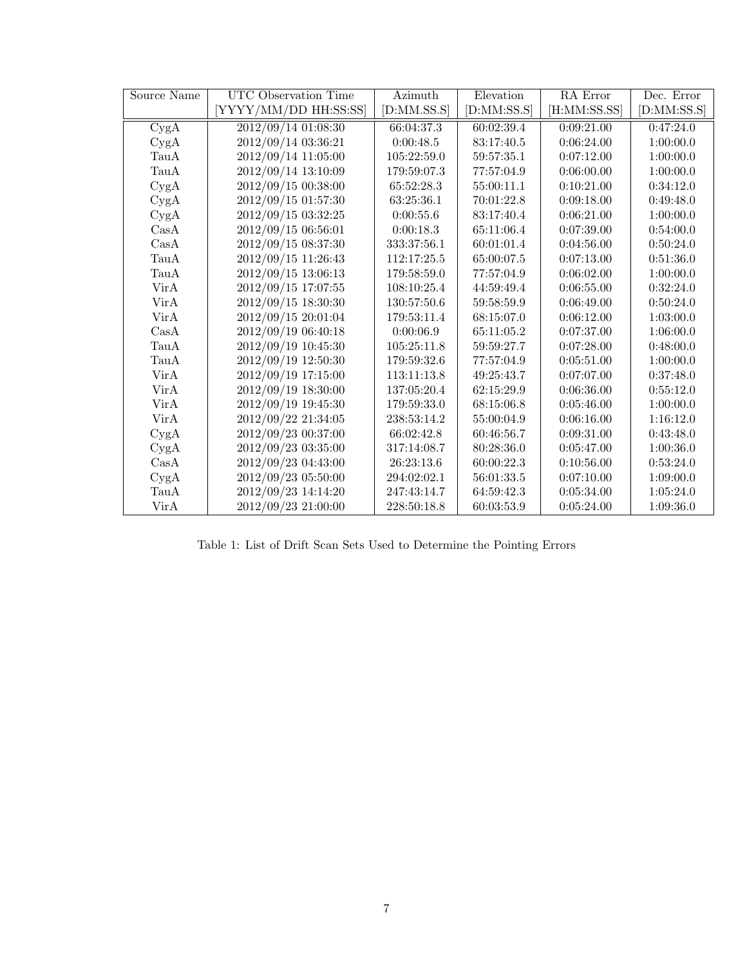| Source Name        | UTC Observation Time   | Azimuth     | Elevation   | RA Error     | Dec. Error  |
|--------------------|------------------------|-------------|-------------|--------------|-------------|
|                    | [YYYY/MM/DD HH:SS:SS]  | [D:MM.SS.S] | [D:MM:SS.S] | [H:MM:SS.SS] | [D:MM:SS.S] |
| CygA               | 2012/09/14 01:08:30    | 66:04:37.3  | 60:02:39.4  | 0:09:21.00   | 0:47:24.0   |
| CygA               | 2012/09/14 03:36:21    | 0:00:48.5   | 83:17:40.5  | 0:06:24.00   | 1:00:00.0   |
| TauA               | 2012/09/14 11:05:00    | 105:22:59.0 | 59:57:35.1  | 0:07:12.00   | 1:00:00.0   |
| TauA               | 2012/09/14 13:10:09    | 179:59:07.3 | 77:57:04.9  | 0:06:00.00   | 1:00:00.0   |
| CygA               | 2012/09/15 00:38:00    | 65:52:28.3  | 55:00:11.1  | 0:10:21.00   | 0:34:12.0   |
| CygA               | 2012/09/15 01:57:30    | 63:25:36.1  | 70:01:22.8  | 0:09:18.00   | 0:49:48.0   |
| CygA               | $2012/09/15\ 03:32:25$ | 0:00:55.6   | 83:17:40.4  | 0:06:21.00   | 1:00:00.0   |
| CasA               | 2012/09/15 06:56:01    | 0:00:18.3   | 65:11:06.4  | 0:07:39.00   | 0:54:00.0   |
| $\rm CasA$         | 2012/09/15 08:37:30    | 333:37:56.1 | 60:01:01.4  | 0:04:56.00   | 0:50:24.0   |
| TauA               | 2012/09/15 11:26:43    | 112:17:25.5 | 65:00:07.5  | 0:07:13.00   | 0:51:36.0   |
| TauA               | 2012/09/15 13:06:13    | 179:58:59.0 | 77:57:04.9  | 0:06:02.00   | 1:00:00.0   |
| VirA               | 2012/09/15 17:07:55    | 108:10:25.4 | 44:59:49.4  | 0:06:55.00   | 0:32:24.0   |
| VirA               | 2012/09/15 18:30:30    | 130:57:50.6 | 59:58:59.9  | 0:06:49.00   | 0:50:24.0   |
| VirA               | 2012/09/15 20:01:04    | 179:53:11.4 | 68:15:07.0  | 0:06:12.00   | 1:03:00.0   |
| $\text{Cas}\Delta$ | 2012/09/19 06:40:18    | 0:00:06.9   | 65:11:05.2  | 0:07:37.00   | 1:06:00.0   |
| TauA               | 2012/09/19 10:45:30    | 105:25:11.8 | 59:59:27.7  | 0:07:28.00   | 0:48:00.0   |
| TauA               | 2012/09/19 12:50:30    | 179:59:32.6 | 77:57:04.9  | 0:05:51.00   | 1:00:00.0   |
| VirA               | 2012/09/19 17:15:00    | 113:11:13.8 | 49:25:43.7  | 0:07:07.00   | 0:37:48.0   |
| VirA               | 2012/09/19 18:30:00    | 137:05:20.4 | 62:15:29.9  | 0:06:36.00   | 0:55:12.0   |
| VirA               | 2012/09/19 19:45:30    | 179:59:33.0 | 68:15:06.8  | 0:05:46.00   | 1:00:00.0   |
| VirA               | 2012/09/22 21:34:05    | 238:53:14.2 | 55:00:04.9  | 0:06:16.00   | 1:16:12.0   |
| CygA               | 2012/09/23 00:37:00    | 66:02:42.8  | 60:46:56.7  | 0:09:31.00   | 0:43:48.0   |
| CygA               | 2012/09/23 03:35:00    | 317:14:08.7 | 80:28:36.0  | 0:05:47.00   | 1:00:36.0   |
| $\rm CasA$         | 2012/09/23 04:43:00    | 26:23:13.6  | 60:00:22.3  | 0:10:56.00   | 0:53:24.0   |
| CygA               | 2012/09/23 05:50:00    | 294:02:02.1 | 56:01:33.5  | 0:07:10.00   | 1:09:00.0   |
| TauA               | 2012/09/23 14:14:20    | 247:43:14.7 | 64:59:42.3  | 0:05:34.00   | 1:05:24.0   |
| VirA               | 2012/09/23 21:00:00    | 228:50:18.8 | 60:03:53.9  | 0:05:24.00   | 1:09:36.0   |

Table 1: List of Drift Scan Sets Used to Determine the Pointing Errors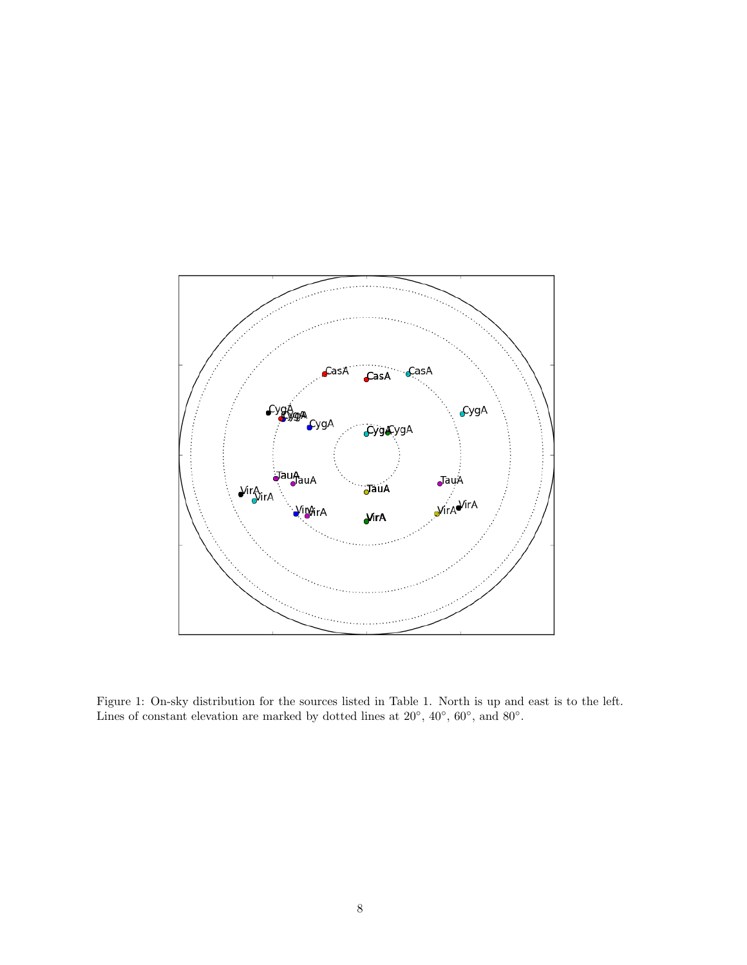

Figure 1: On-sky distribution for the sources listed in Table 1. North is up and east is to the left. Lines of constant elevation are marked by dotted lines at  $20^{\circ}$ ,  $40^{\circ}$ ,  $60^{\circ}$ , and  $80^{\circ}$ .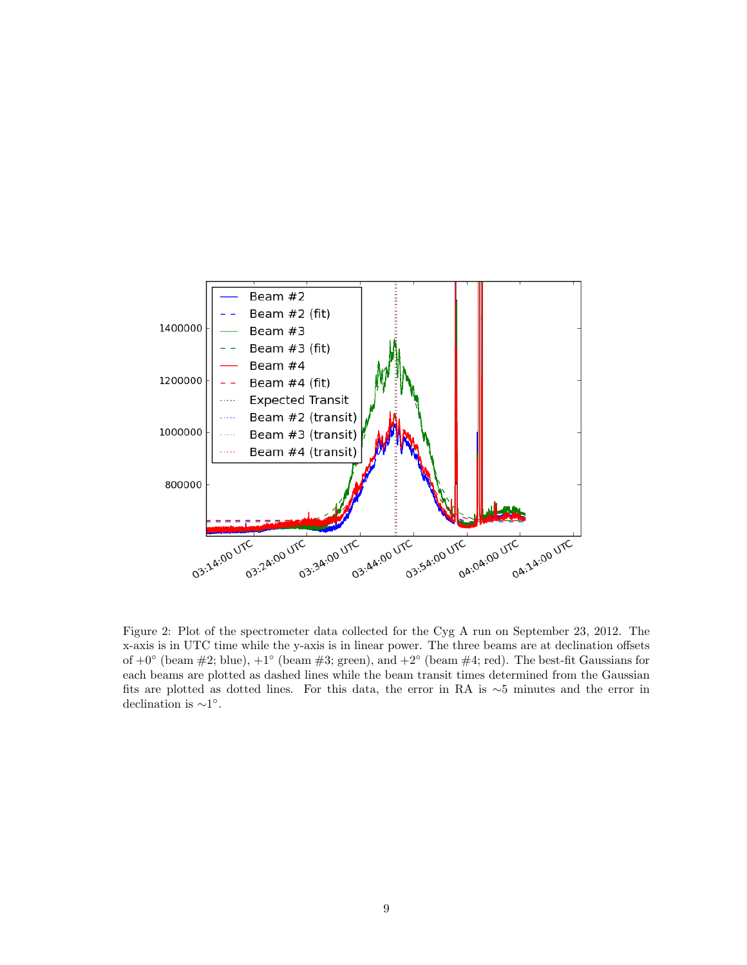

Figure 2: Plot of the spectrometer data collected for the Cyg A run on September 23, 2012. The x-axis is in UTC time while the y-axis is in linear power. The three beams are at declination offsets of  $+0^{\circ}$  (beam  $\#2$ ; blue),  $+1^{\circ}$  (beam  $\#3$ ; green), and  $+2^{\circ}$  (beam  $\#4$ ; red). The best-fit Gaussians for each beams are plotted as dashed lines while the beam transit times determined from the Gaussian fits are plotted as dotted lines. For this data, the error in RA is ∼5 minutes and the error in declination is  $\sim$ 1°.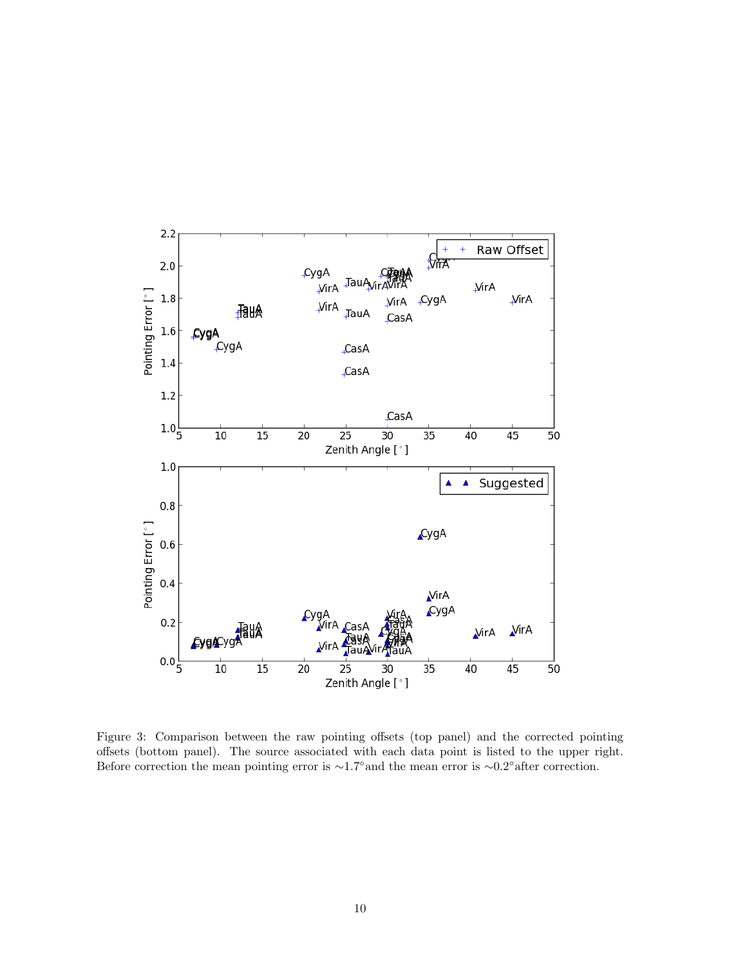

Figure 3: Comparison between the raw pointing offsets (top panel) and the corrected pointing offsets (bottom panel). The source associated with each data point is listed to the upper right. Before correction the mean pointing error is ∼1.7◦and the mean error is ∼0.2◦after correction.